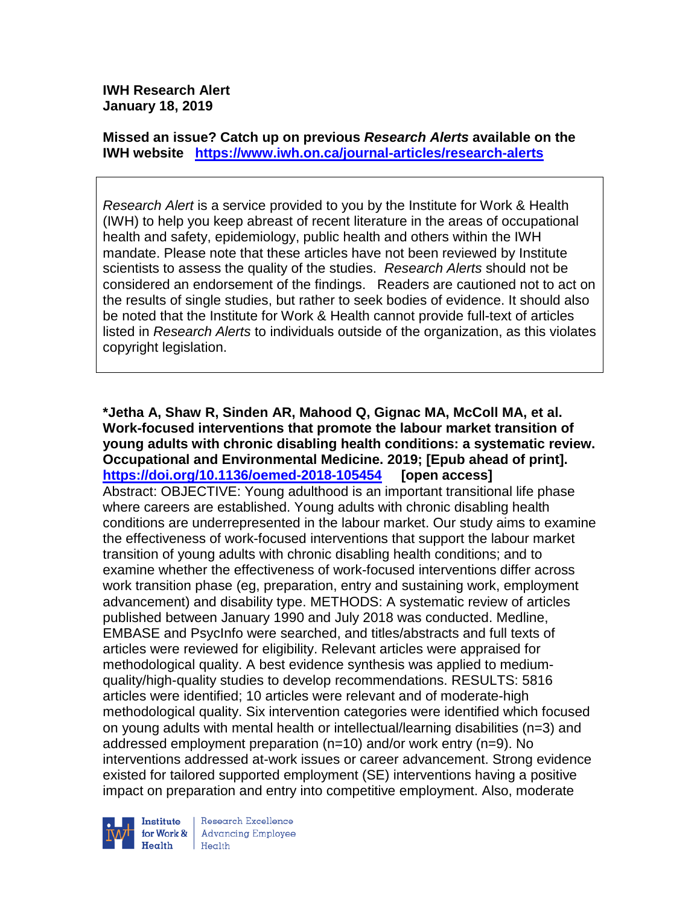**IWH Research Alert January 18, 2019**

**Missed an issue? Catch up on previous** *Research Alerts* **available on the [IWH website](http://www.iwh.on.ca/research-alerts) <https://www.iwh.on.ca/journal-articles/research-alerts>**

*Research Alert* is a service provided to you by the Institute for Work & Health (IWH) to help you keep abreast of recent literature in the areas of occupational health and safety, epidemiology, public health and others within the IWH mandate. Please note that these articles have not been reviewed by Institute scientists to assess the quality of the studies. *Research Alerts* should not be considered an endorsement of the findings. Readers are cautioned not to act on the results of single studies, but rather to seek bodies of evidence. It should also be noted that the Institute for Work & Health cannot provide full-text of articles listed in *Research Alerts* to individuals outside of the organization, as this violates copyright legislation.

**\*Jetha A, Shaw R, Sinden AR, Mahood Q, Gignac MA, McColl MA, et al. Work-focused interventions that promote the labour market transition of young adults with chronic disabling health conditions: a systematic review. Occupational and Environmental Medicine. 2019; [Epub ahead of print]. <https://doi.org/10.1136/oemed-2018-105454> [open access]** Abstract: OBJECTIVE: Young adulthood is an important transitional life phase where careers are established. Young adults with chronic disabling health conditions are underrepresented in the labour market. Our study aims to examine the effectiveness of work-focused interventions that support the labour market transition of young adults with chronic disabling health conditions; and to examine whether the effectiveness of work-focused interventions differ across work transition phase (eg, preparation, entry and sustaining work, employment advancement) and disability type. METHODS: A systematic review of articles published between January 1990 and July 2018 was conducted. Medline, EMBASE and PsycInfo were searched, and titles/abstracts and full texts of articles were reviewed for eligibility. Relevant articles were appraised for methodological quality. A best evidence synthesis was applied to mediumquality/high-quality studies to develop recommendations. RESULTS: 5816 articles were identified; 10 articles were relevant and of moderate-high methodological quality. Six intervention categories were identified which focused on young adults with mental health or intellectual/learning disabilities (n=3) and addressed employment preparation (n=10) and/or work entry (n=9). No interventions addressed at-work issues or career advancement. Strong evidence existed for tailored supported employment (SE) interventions having a positive impact on preparation and entry into competitive employment. Also, moderate

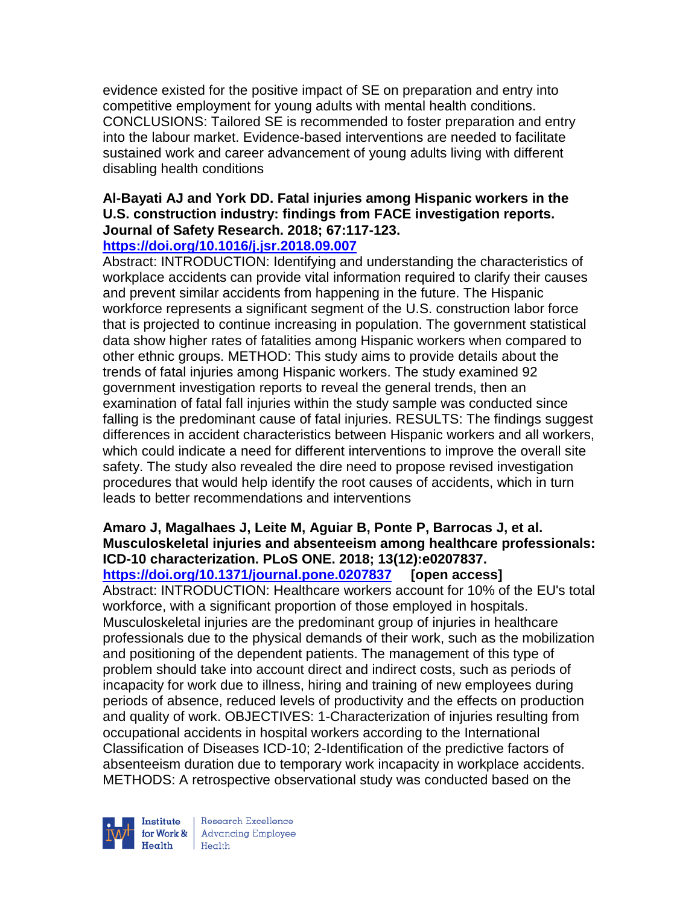evidence existed for the positive impact of SE on preparation and entry into competitive employment for young adults with mental health conditions. CONCLUSIONS: Tailored SE is recommended to foster preparation and entry into the labour market. Evidence-based interventions are needed to facilitate sustained work and career advancement of young adults living with different disabling health conditions

#### **Al-Bayati AJ and York DD. Fatal injuries among Hispanic workers in the U.S. construction industry: findings from FACE investigation reports. Journal of Safety Research. 2018; 67:117-123. <https://doi.org/10.1016/j.jsr.2018.09.007>**

Abstract: INTRODUCTION: Identifying and understanding the characteristics of workplace accidents can provide vital information required to clarify their causes and prevent similar accidents from happening in the future. The Hispanic workforce represents a significant segment of the U.S. construction labor force that is projected to continue increasing in population. The government statistical data show higher rates of fatalities among Hispanic workers when compared to other ethnic groups. METHOD: This study aims to provide details about the trends of fatal injuries among Hispanic workers. The study examined 92 government investigation reports to reveal the general trends, then an examination of fatal fall injuries within the study sample was conducted since falling is the predominant cause of fatal injuries. RESULTS: The findings suggest differences in accident characteristics between Hispanic workers and all workers, which could indicate a need for different interventions to improve the overall site safety. The study also revealed the dire need to propose revised investigation procedures that would help identify the root causes of accidents, which in turn leads to better recommendations and interventions

#### **Amaro J, Magalhaes J, Leite M, Aguiar B, Ponte P, Barrocas J, et al. Musculoskeletal injuries and absenteeism among healthcare professionals: ICD-10 characterization. PLoS ONE. 2018; 13(12):e0207837. <https://doi.org/10.1371/journal.pone.0207837> [open access]**

Abstract: INTRODUCTION: Healthcare workers account for 10% of the EU's total workforce, with a significant proportion of those employed in hospitals. Musculoskeletal injuries are the predominant group of injuries in healthcare professionals due to the physical demands of their work, such as the mobilization and positioning of the dependent patients. The management of this type of problem should take into account direct and indirect costs, such as periods of incapacity for work due to illness, hiring and training of new employees during periods of absence, reduced levels of productivity and the effects on production and quality of work. OBJECTIVES: 1-Characterization of injuries resulting from occupational accidents in hospital workers according to the International Classification of Diseases ICD-10; 2-Identification of the predictive factors of absenteeism duration due to temporary work incapacity in workplace accidents. METHODS: A retrospective observational study was conducted based on the



**Institute** Research Excellence<br>**for Work &** Advancing Employee  $H$ ealth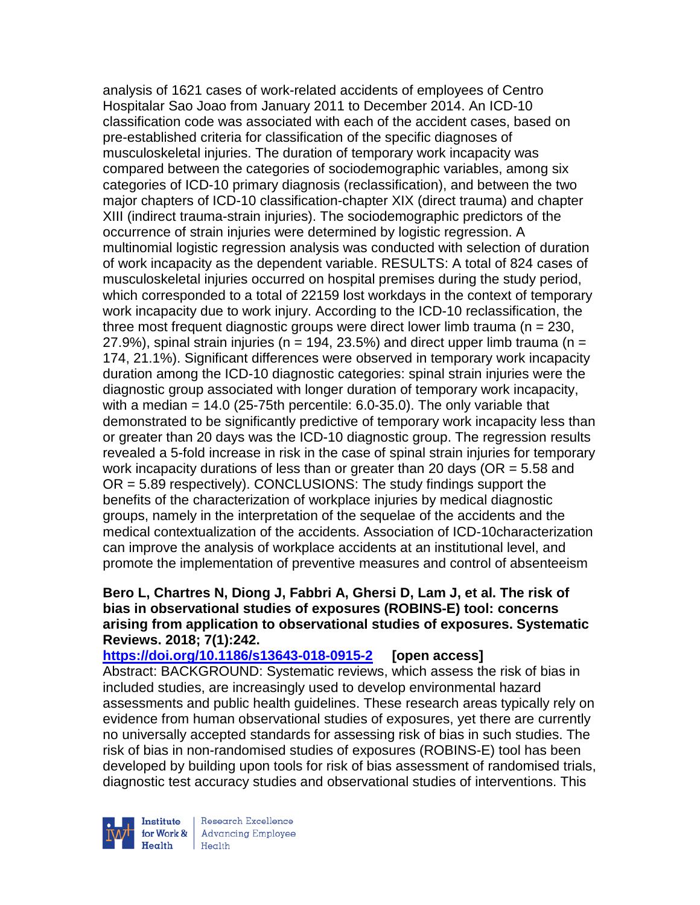analysis of 1621 cases of work-related accidents of employees of Centro Hospitalar Sao Joao from January 2011 to December 2014. An ICD-10 classification code was associated with each of the accident cases, based on pre-established criteria for classification of the specific diagnoses of musculoskeletal injuries. The duration of temporary work incapacity was compared between the categories of sociodemographic variables, among six categories of ICD-10 primary diagnosis (reclassification), and between the two major chapters of ICD-10 classification-chapter XIX (direct trauma) and chapter XIII (indirect trauma-strain injuries). The sociodemographic predictors of the occurrence of strain injuries were determined by logistic regression. A multinomial logistic regression analysis was conducted with selection of duration of work incapacity as the dependent variable. RESULTS: A total of 824 cases of musculoskeletal injuries occurred on hospital premises during the study period, which corresponded to a total of 22159 lost workdays in the context of temporary work incapacity due to work injury. According to the ICD-10 reclassification, the three most frequent diagnostic groups were direct lower limb trauma (n = 230, 27.9%), spinal strain injuries ( $n = 194, 23.5%$ ) and direct upper limb trauma ( $n =$ 174, 21.1%). Significant differences were observed in temporary work incapacity duration among the ICD-10 diagnostic categories: spinal strain injuries were the diagnostic group associated with longer duration of temporary work incapacity, with a median  $= 14.0$  (25-75th percentile: 6.0-35.0). The only variable that demonstrated to be significantly predictive of temporary work incapacity less than or greater than 20 days was the ICD-10 diagnostic group. The regression results revealed a 5-fold increase in risk in the case of spinal strain injuries for temporary work incapacity durations of less than or greater than 20 days (OR = 5.58 and OR = 5.89 respectively). CONCLUSIONS: The study findings support the benefits of the characterization of workplace injuries by medical diagnostic groups, namely in the interpretation of the sequelae of the accidents and the medical contextualization of the accidents. Association of ICD-10characterization can improve the analysis of workplace accidents at an institutional level, and promote the implementation of preventive measures and control of absenteeism

## **Bero L, Chartres N, Diong J, Fabbri A, Ghersi D, Lam J, et al. The risk of bias in observational studies of exposures (ROBINS-E) tool: concerns arising from application to observational studies of exposures. Systematic Reviews. 2018; 7(1):242.**

**<https://doi.org/10.1186/s13643-018-0915-2> [open access]** Abstract: BACKGROUND: Systematic reviews, which assess the risk of bias in included studies, are increasingly used to develop environmental hazard assessments and public health guidelines. These research areas typically rely on evidence from human observational studies of exposures, yet there are currently no universally accepted standards for assessing risk of bias in such studies. The risk of bias in non-randomised studies of exposures (ROBINS-E) tool has been developed by building upon tools for risk of bias assessment of randomised trials, diagnostic test accuracy studies and observational studies of interventions. This

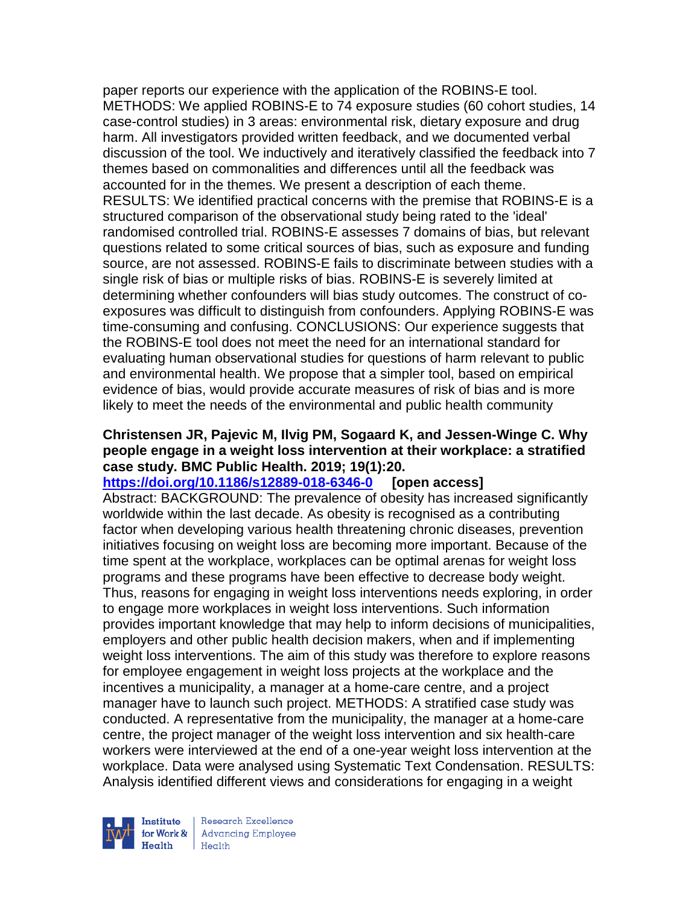paper reports our experience with the application of the ROBINS-E tool. METHODS: We applied ROBINS-E to 74 exposure studies (60 cohort studies, 14 case-control studies) in 3 areas: environmental risk, dietary exposure and drug harm. All investigators provided written feedback, and we documented verbal discussion of the tool. We inductively and iteratively classified the feedback into 7 themes based on commonalities and differences until all the feedback was accounted for in the themes. We present a description of each theme. RESULTS: We identified practical concerns with the premise that ROBINS-E is a structured comparison of the observational study being rated to the 'ideal' randomised controlled trial. ROBINS-E assesses 7 domains of bias, but relevant questions related to some critical sources of bias, such as exposure and funding source, are not assessed. ROBINS-E fails to discriminate between studies with a single risk of bias or multiple risks of bias. ROBINS-E is severely limited at determining whether confounders will bias study outcomes. The construct of coexposures was difficult to distinguish from confounders. Applying ROBINS-E was time-consuming and confusing. CONCLUSIONS: Our experience suggests that the ROBINS-E tool does not meet the need for an international standard for evaluating human observational studies for questions of harm relevant to public and environmental health. We propose that a simpler tool, based on empirical evidence of bias, would provide accurate measures of risk of bias and is more likely to meet the needs of the environmental and public health community

# **Christensen JR, Pajevic M, Ilvig PM, Sogaard K, and Jessen-Winge C. Why people engage in a weight loss intervention at their workplace: a stratified case study. BMC Public Health. 2019; 19(1):20.**

**<https://doi.org/10.1186/s12889-018-6346-0> [open access]** Abstract: BACKGROUND: The prevalence of obesity has increased significantly worldwide within the last decade. As obesity is recognised as a contributing factor when developing various health threatening chronic diseases, prevention initiatives focusing on weight loss are becoming more important. Because of the time spent at the workplace, workplaces can be optimal arenas for weight loss programs and these programs have been effective to decrease body weight. Thus, reasons for engaging in weight loss interventions needs exploring, in order to engage more workplaces in weight loss interventions. Such information provides important knowledge that may help to inform decisions of municipalities, employers and other public health decision makers, when and if implementing weight loss interventions. The aim of this study was therefore to explore reasons for employee engagement in weight loss projects at the workplace and the incentives a municipality, a manager at a home-care centre, and a project manager have to launch such project. METHODS: A stratified case study was conducted. A representative from the municipality, the manager at a home-care centre, the project manager of the weight loss intervention and six health-care workers were interviewed at the end of a one-year weight loss intervention at the workplace. Data were analysed using Systematic Text Condensation. RESULTS: Analysis identified different views and considerations for engaging in a weight



Institute | Research Excellence<br>for Work & | Advancing Employee Health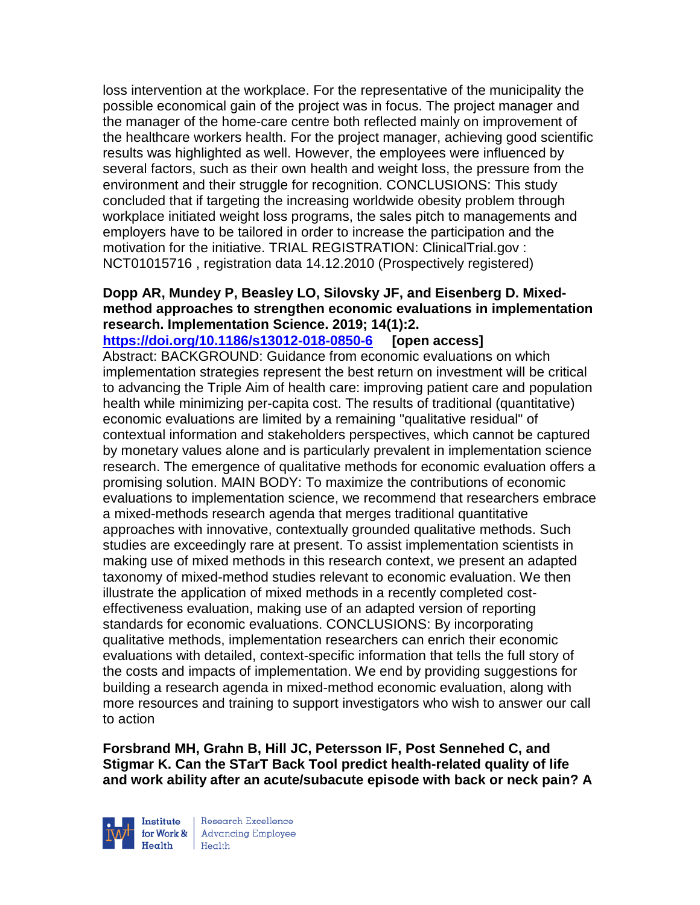loss intervention at the workplace. For the representative of the municipality the possible economical gain of the project was in focus. The project manager and the manager of the home-care centre both reflected mainly on improvement of the healthcare workers health. For the project manager, achieving good scientific results was highlighted as well. However, the employees were influenced by several factors, such as their own health and weight loss, the pressure from the environment and their struggle for recognition. CONCLUSIONS: This study concluded that if targeting the increasing worldwide obesity problem through workplace initiated weight loss programs, the sales pitch to managements and employers have to be tailored in order to increase the participation and the motivation for the initiative. TRIAL REGISTRATION: ClinicalTrial.gov : NCT01015716 , registration data 14.12.2010 (Prospectively registered)

## **Dopp AR, Mundey P, Beasley LO, Silovsky JF, and Eisenberg D. Mixedmethod approaches to strengthen economic evaluations in implementation research. Implementation Science. 2019; 14(1):2.**

**<https://doi.org/10.1186/s13012-018-0850-6> [open access]** Abstract: BACKGROUND: Guidance from economic evaluations on which implementation strategies represent the best return on investment will be critical to advancing the Triple Aim of health care: improving patient care and population health while minimizing per-capita cost. The results of traditional (quantitative) economic evaluations are limited by a remaining "qualitative residual" of contextual information and stakeholders perspectives, which cannot be captured by monetary values alone and is particularly prevalent in implementation science research. The emergence of qualitative methods for economic evaluation offers a promising solution. MAIN BODY: To maximize the contributions of economic evaluations to implementation science, we recommend that researchers embrace a mixed-methods research agenda that merges traditional quantitative approaches with innovative, contextually grounded qualitative methods. Such studies are exceedingly rare at present. To assist implementation scientists in making use of mixed methods in this research context, we present an adapted taxonomy of mixed-method studies relevant to economic evaluation. We then illustrate the application of mixed methods in a recently completed costeffectiveness evaluation, making use of an adapted version of reporting standards for economic evaluations. CONCLUSIONS: By incorporating qualitative methods, implementation researchers can enrich their economic evaluations with detailed, context-specific information that tells the full story of the costs and impacts of implementation. We end by providing suggestions for building a research agenda in mixed-method economic evaluation, along with more resources and training to support investigators who wish to answer our call to action

**Forsbrand MH, Grahn B, Hill JC, Petersson IF, Post Sennehed C, and Stigmar K. Can the STarT Back Tool predict health-related quality of life and work ability after an acute/subacute episode with back or neck pain? A** 



Research Excellence for Work & | Advancing Employee  $H_{\text{each}}$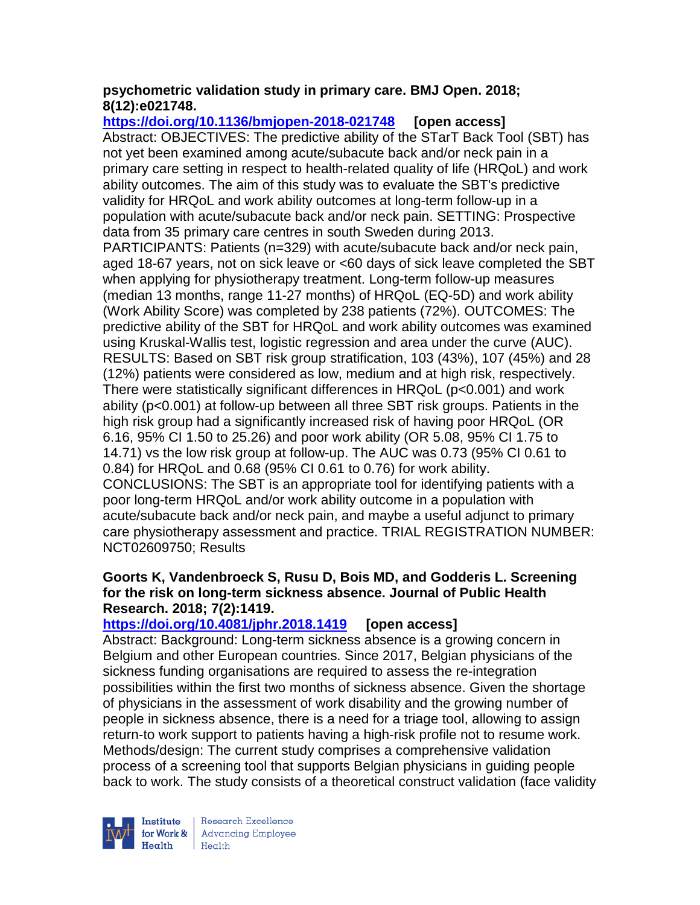# **psychometric validation study in primary care. BMJ Open. 2018; 8(12):e021748.**

**<https://doi.org/10.1136/bmjopen-2018-021748> [open access]** Abstract: OBJECTIVES: The predictive ability of the STarT Back Tool (SBT) has not yet been examined among acute/subacute back and/or neck pain in a primary care setting in respect to health-related quality of life (HRQoL) and work ability outcomes. The aim of this study was to evaluate the SBT's predictive validity for HRQoL and work ability outcomes at long-term follow-up in a population with acute/subacute back and/or neck pain. SETTING: Prospective data from 35 primary care centres in south Sweden during 2013. PARTICIPANTS: Patients (n=329) with acute/subacute back and/or neck pain, aged 18-67 years, not on sick leave or <60 days of sick leave completed the SBT when applying for physiotherapy treatment. Long-term follow-up measures (median 13 months, range 11-27 months) of HRQoL (EQ-5D) and work ability (Work Ability Score) was completed by 238 patients (72%). OUTCOMES: The predictive ability of the SBT for HRQoL and work ability outcomes was examined using Kruskal-Wallis test, logistic regression and area under the curve (AUC). RESULTS: Based on SBT risk group stratification, 103 (43%), 107 (45%) and 28 (12%) patients were considered as low, medium and at high risk, respectively. There were statistically significant differences in HRQoL (p<0.001) and work ability (p<0.001) at follow-up between all three SBT risk groups. Patients in the high risk group had a significantly increased risk of having poor HRQoL (OR 6.16, 95% CI 1.50 to 25.26) and poor work ability (OR 5.08, 95% CI 1.75 to 14.71) vs the low risk group at follow-up. The AUC was 0.73 (95% CI 0.61 to 0.84) for HRQoL and 0.68 (95% CI 0.61 to 0.76) for work ability. CONCLUSIONS: The SBT is an appropriate tool for identifying patients with a poor long-term HRQoL and/or work ability outcome in a population with acute/subacute back and/or neck pain, and maybe a useful adjunct to primary care physiotherapy assessment and practice. TRIAL REGISTRATION NUMBER: NCT02609750; Results

# **Goorts K, Vandenbroeck S, Rusu D, Bois MD, and Godderis L. Screening for the risk on long-term sickness absence. Journal of Public Health Research. 2018; 7(2):1419.**

**<https://doi.org/10.4081/jphr.2018.1419> [open access]**

Abstract: Background: Long-term sickness absence is a growing concern in Belgium and other European countries. Since 2017, Belgian physicians of the sickness funding organisations are required to assess the re-integration possibilities within the first two months of sickness absence. Given the shortage of physicians in the assessment of work disability and the growing number of people in sickness absence, there is a need for a triage tool, allowing to assign return-to work support to patients having a high-risk profile not to resume work. Methods/design: The current study comprises a comprehensive validation process of a screening tool that supports Belgian physicians in guiding people back to work. The study consists of a theoretical construct validation (face validity

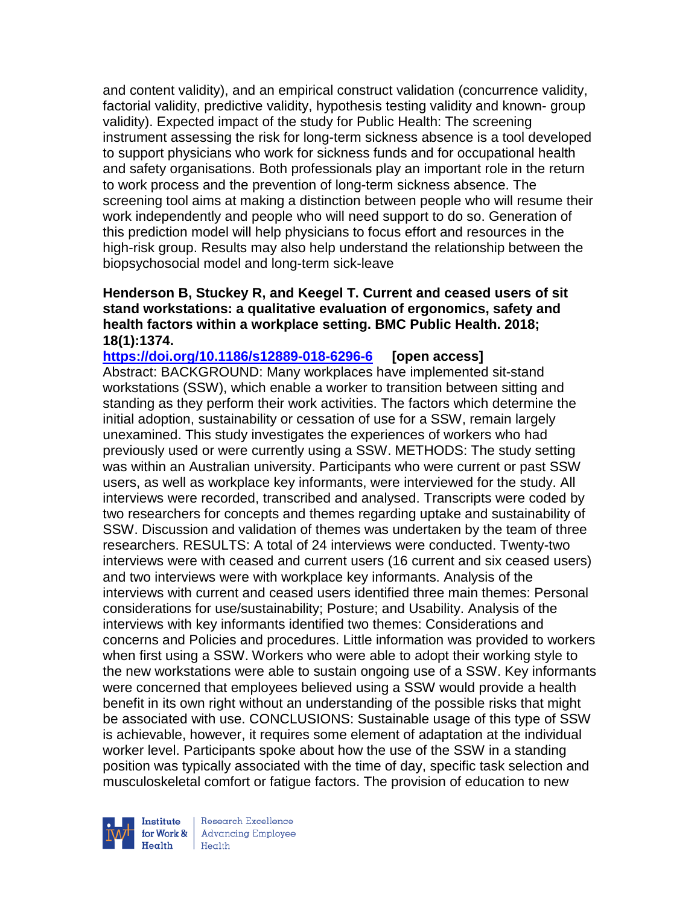and content validity), and an empirical construct validation (concurrence validity, factorial validity, predictive validity, hypothesis testing validity and known- group validity). Expected impact of the study for Public Health: The screening instrument assessing the risk for long-term sickness absence is a tool developed to support physicians who work for sickness funds and for occupational health and safety organisations. Both professionals play an important role in the return to work process and the prevention of long-term sickness absence. The screening tool aims at making a distinction between people who will resume their work independently and people who will need support to do so. Generation of this prediction model will help physicians to focus effort and resources in the high-risk group. Results may also help understand the relationship between the biopsychosocial model and long-term sick-leave

#### **Henderson B, Stuckey R, and Keegel T. Current and ceased users of sit stand workstations: a qualitative evaluation of ergonomics, safety and health factors within a workplace setting. BMC Public Health. 2018; 18(1):1374.**

**<https://doi.org/10.1186/s12889-018-6296-6> [open access]** Abstract: BACKGROUND: Many workplaces have implemented sit-stand workstations (SSW), which enable a worker to transition between sitting and standing as they perform their work activities. The factors which determine the initial adoption, sustainability or cessation of use for a SSW, remain largely unexamined. This study investigates the experiences of workers who had previously used or were currently using a SSW. METHODS: The study setting was within an Australian university. Participants who were current or past SSW users, as well as workplace key informants, were interviewed for the study. All interviews were recorded, transcribed and analysed. Transcripts were coded by two researchers for concepts and themes regarding uptake and sustainability of SSW. Discussion and validation of themes was undertaken by the team of three researchers. RESULTS: A total of 24 interviews were conducted. Twenty-two interviews were with ceased and current users (16 current and six ceased users) and two interviews were with workplace key informants. Analysis of the interviews with current and ceased users identified three main themes: Personal considerations for use/sustainability; Posture; and Usability. Analysis of the interviews with key informants identified two themes: Considerations and concerns and Policies and procedures. Little information was provided to workers when first using a SSW. Workers who were able to adopt their working style to the new workstations were able to sustain ongoing use of a SSW. Key informants were concerned that employees believed using a SSW would provide a health benefit in its own right without an understanding of the possible risks that might be associated with use. CONCLUSIONS: Sustainable usage of this type of SSW is achievable, however, it requires some element of adaptation at the individual worker level. Participants spoke about how the use of the SSW in a standing position was typically associated with the time of day, specific task selection and musculoskeletal comfort or fatigue factors. The provision of education to new



Research Excellence for Work & Advancing Employee  $H$ ealth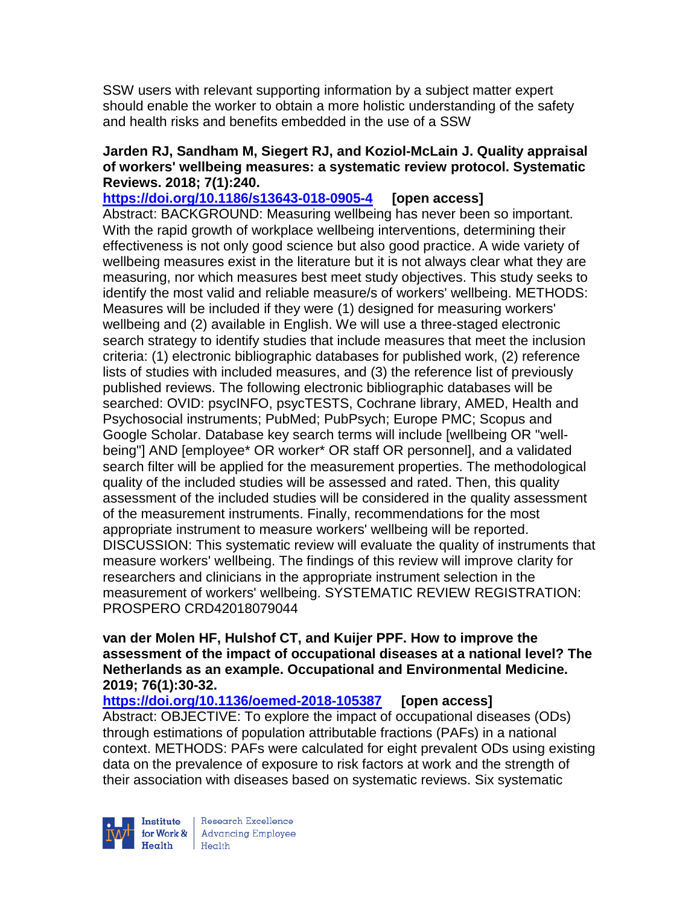SSW users with relevant supporting information by a subject matter expert should enable the worker to obtain a more holistic understanding of the safety and health risks and benefits embedded in the use of a SSW

# **Jarden RJ, Sandham M, Siegert RJ, and Koziol-McLain J. Quality appraisal of workers' wellbeing measures: a systematic review protocol. Systematic Reviews. 2018; 7(1):240.**

**<https://doi.org/10.1186/s13643-018-0905-4> [open access]** Abstract: BACKGROUND: Measuring wellbeing has never been so important. With the rapid growth of workplace wellbeing interventions, determining their effectiveness is not only good science but also good practice. A wide variety of wellbeing measures exist in the literature but it is not always clear what they are measuring, nor which measures best meet study objectives. This study seeks to identify the most valid and reliable measure/s of workers' wellbeing. METHODS: Measures will be included if they were (1) designed for measuring workers' wellbeing and (2) available in English. We will use a three-staged electronic search strategy to identify studies that include measures that meet the inclusion criteria: (1) electronic bibliographic databases for published work, (2) reference lists of studies with included measures, and (3) the reference list of previously published reviews. The following electronic bibliographic databases will be searched: OVID: psycINFO, psycTESTS, Cochrane library, AMED, Health and Psychosocial instruments; PubMed; PubPsych; Europe PMC; Scopus and Google Scholar. Database key search terms will include [wellbeing OR "wellbeing"] AND [employee\* OR worker\* OR staff OR personnel], and a validated search filter will be applied for the measurement properties. The methodological quality of the included studies will be assessed and rated. Then, this quality assessment of the included studies will be considered in the quality assessment of the measurement instruments. Finally, recommendations for the most appropriate instrument to measure workers' wellbeing will be reported. DISCUSSION: This systematic review will evaluate the quality of instruments that measure workers' wellbeing. The findings of this review will improve clarity for researchers and clinicians in the appropriate instrument selection in the measurement of workers' wellbeing. SYSTEMATIC REVIEW REGISTRATION: PROSPERO CRD42018079044

#### **van der Molen HF, Hulshof CT, and Kuijer PPF. How to improve the assessment of the impact of occupational diseases at a national level? The Netherlands as an example. Occupational and Environmental Medicine. 2019; 76(1):30-32.**

**<https://doi.org/10.1136/oemed-2018-105387> [open access]**

Abstract: OBJECTIVE: To explore the impact of occupational diseases (ODs) through estimations of population attributable fractions (PAFs) in a national context. METHODS: PAFs were calculated for eight prevalent ODs using existing data on the prevalence of exposure to risk factors at work and the strength of their association with diseases based on systematic reviews. Six systematic



**Institute** Research Excellence<br>**for Work &** Advancing Employee  $H_{\text{each}}$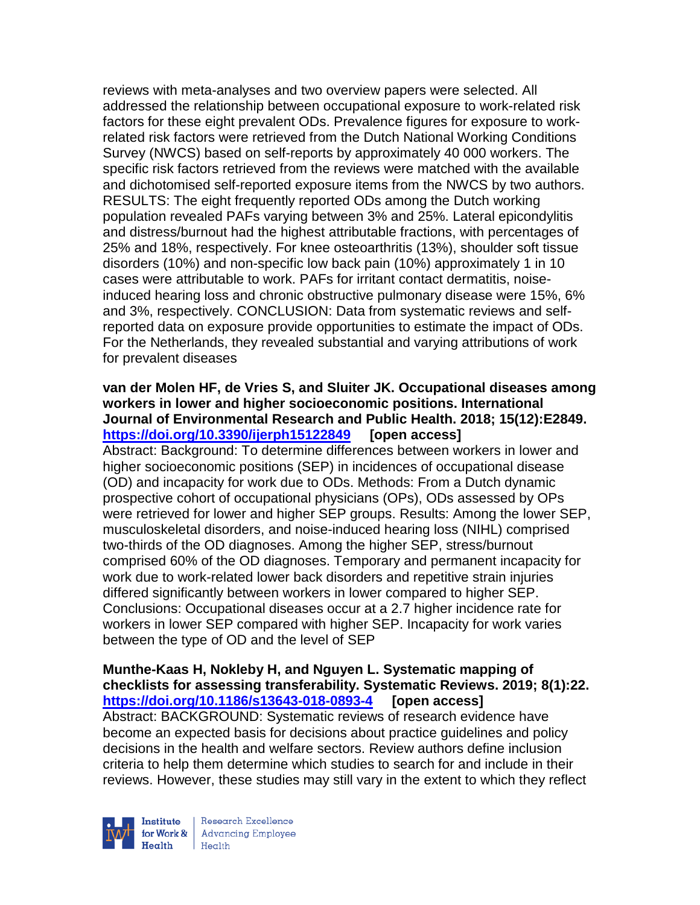reviews with meta-analyses and two overview papers were selected. All addressed the relationship between occupational exposure to work-related risk factors for these eight prevalent ODs. Prevalence figures for exposure to workrelated risk factors were retrieved from the Dutch National Working Conditions Survey (NWCS) based on self-reports by approximately 40 000 workers. The specific risk factors retrieved from the reviews were matched with the available and dichotomised self-reported exposure items from the NWCS by two authors. RESULTS: The eight frequently reported ODs among the Dutch working population revealed PAFs varying between 3% and 25%. Lateral epicondylitis and distress/burnout had the highest attributable fractions, with percentages of 25% and 18%, respectively. For knee osteoarthritis (13%), shoulder soft tissue disorders (10%) and non-specific low back pain (10%) approximately 1 in 10 cases were attributable to work. PAFs for irritant contact dermatitis, noiseinduced hearing loss and chronic obstructive pulmonary disease were 15%, 6% and 3%, respectively. CONCLUSION: Data from systematic reviews and selfreported data on exposure provide opportunities to estimate the impact of ODs. For the Netherlands, they revealed substantial and varying attributions of work for prevalent diseases

# **van der Molen HF, de Vries S, and Sluiter JK. Occupational diseases among workers in lower and higher socioeconomic positions. International Journal of Environmental Research and Public Health. 2018; 15(12):E2849. <https://doi.org/10.3390/ijerph15122849> [open access]**

Abstract: Background: To determine differences between workers in lower and higher socioeconomic positions (SEP) in incidences of occupational disease (OD) and incapacity for work due to ODs. Methods: From a Dutch dynamic prospective cohort of occupational physicians (OPs), ODs assessed by OPs were retrieved for lower and higher SEP groups. Results: Among the lower SEP, musculoskeletal disorders, and noise-induced hearing loss (NIHL) comprised two-thirds of the OD diagnoses. Among the higher SEP, stress/burnout comprised 60% of the OD diagnoses. Temporary and permanent incapacity for work due to work-related lower back disorders and repetitive strain injuries differed significantly between workers in lower compared to higher SEP. Conclusions: Occupational diseases occur at a 2.7 higher incidence rate for workers in lower SEP compared with higher SEP. Incapacity for work varies between the type of OD and the level of SEP

#### **Munthe-Kaas H, Nokleby H, and Nguyen L. Systematic mapping of checklists for assessing transferability. Systematic Reviews. 2019; 8(1):22. <https://doi.org/10.1186/s13643-018-0893-4> [open access]**

Abstract: BACKGROUND: Systematic reviews of research evidence have become an expected basis for decisions about practice guidelines and policy decisions in the health and welfare sectors. Review authors define inclusion criteria to help them determine which studies to search for and include in their reviews. However, these studies may still vary in the extent to which they reflect

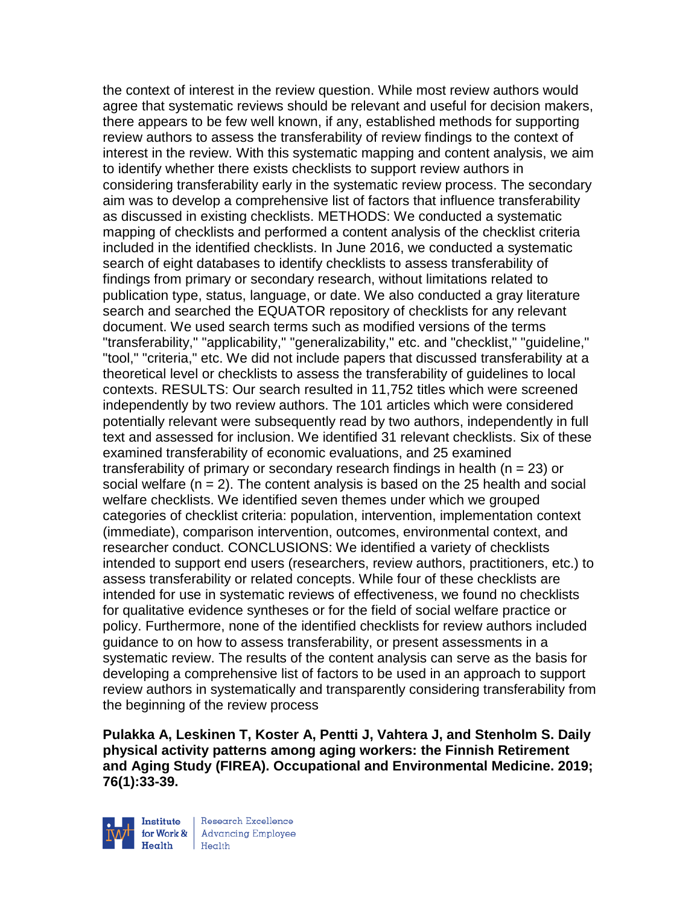the context of interest in the review question. While most review authors would agree that systematic reviews should be relevant and useful for decision makers, there appears to be few well known, if any, established methods for supporting review authors to assess the transferability of review findings to the context of interest in the review. With this systematic mapping and content analysis, we aim to identify whether there exists checklists to support review authors in considering transferability early in the systematic review process. The secondary aim was to develop a comprehensive list of factors that influence transferability as discussed in existing checklists. METHODS: We conducted a systematic mapping of checklists and performed a content analysis of the checklist criteria included in the identified checklists. In June 2016, we conducted a systematic search of eight databases to identify checklists to assess transferability of findings from primary or secondary research, without limitations related to publication type, status, language, or date. We also conducted a gray literature search and searched the EQUATOR repository of checklists for any relevant document. We used search terms such as modified versions of the terms "transferability," "applicability," "generalizability," etc. and "checklist," "guideline," "tool," "criteria," etc. We did not include papers that discussed transferability at a theoretical level or checklists to assess the transferability of guidelines to local contexts. RESULTS: Our search resulted in 11,752 titles which were screened independently by two review authors. The 101 articles which were considered potentially relevant were subsequently read by two authors, independently in full text and assessed for inclusion. We identified 31 relevant checklists. Six of these examined transferability of economic evaluations, and 25 examined transferability of primary or secondary research findings in health (n = 23) or social welfare  $(n = 2)$ . The content analysis is based on the 25 health and social welfare checklists. We identified seven themes under which we grouped categories of checklist criteria: population, intervention, implementation context (immediate), comparison intervention, outcomes, environmental context, and researcher conduct. CONCLUSIONS: We identified a variety of checklists intended to support end users (researchers, review authors, practitioners, etc.) to assess transferability or related concepts. While four of these checklists are intended for use in systematic reviews of effectiveness, we found no checklists for qualitative evidence syntheses or for the field of social welfare practice or policy. Furthermore, none of the identified checklists for review authors included guidance to on how to assess transferability, or present assessments in a systematic review. The results of the content analysis can serve as the basis for developing a comprehensive list of factors to be used in an approach to support review authors in systematically and transparently considering transferability from the beginning of the review process

**Pulakka A, Leskinen T, Koster A, Pentti J, Vahtera J, and Stenholm S. Daily physical activity patterns among aging workers: the Finnish Retirement and Aging Study (FIREA). Occupational and Environmental Medicine. 2019; 76(1):33-39.** 



Research Excellence for Work & Advancing Employee Health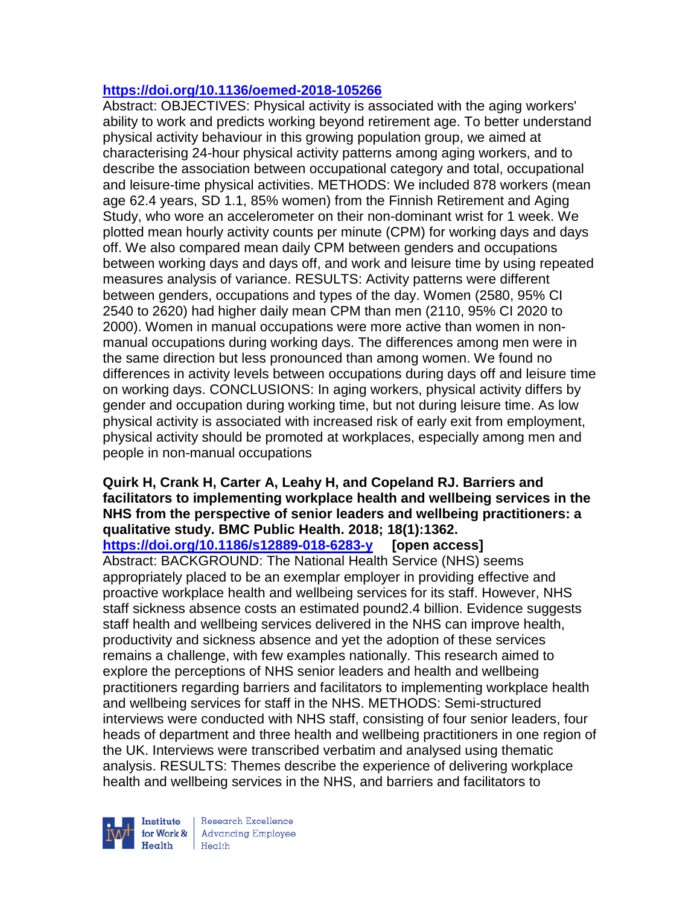## **<https://doi.org/10.1136/oemed-2018-105266>**

Abstract: OBJECTIVES: Physical activity is associated with the aging workers' ability to work and predicts working beyond retirement age. To better understand physical activity behaviour in this growing population group, we aimed at characterising 24-hour physical activity patterns among aging workers, and to describe the association between occupational category and total, occupational and leisure-time physical activities. METHODS: We included 878 workers (mean age 62.4 years, SD 1.1, 85% women) from the Finnish Retirement and Aging Study, who wore an accelerometer on their non-dominant wrist for 1 week. We plotted mean hourly activity counts per minute (CPM) for working days and days off. We also compared mean daily CPM between genders and occupations between working days and days off, and work and leisure time by using repeated measures analysis of variance. RESULTS: Activity patterns were different between genders, occupations and types of the day. Women (2580, 95% CI 2540 to 2620) had higher daily mean CPM than men (2110, 95% CI 2020 to 2000). Women in manual occupations were more active than women in nonmanual occupations during working days. The differences among men were in the same direction but less pronounced than among women. We found no differences in activity levels between occupations during days off and leisure time on working days. CONCLUSIONS: In aging workers, physical activity differs by gender and occupation during working time, but not during leisure time. As low physical activity is associated with increased risk of early exit from employment, physical activity should be promoted at workplaces, especially among men and people in non-manual occupations

# **Quirk H, Crank H, Carter A, Leahy H, and Copeland RJ. Barriers and facilitators to implementing workplace health and wellbeing services in the NHS from the perspective of senior leaders and wellbeing practitioners: a qualitative study. BMC Public Health. 2018; 18(1):1362.**

**<https://doi.org/10.1186/s12889-018-6283-y> [open access]** Abstract: BACKGROUND: The National Health Service (NHS) seems appropriately placed to be an exemplar employer in providing effective and proactive workplace health and wellbeing services for its staff. However, NHS staff sickness absence costs an estimated pound2.4 billion. Evidence suggests staff health and wellbeing services delivered in the NHS can improve health, productivity and sickness absence and yet the adoption of these services remains a challenge, with few examples nationally. This research aimed to explore the perceptions of NHS senior leaders and health and wellbeing practitioners regarding barriers and facilitators to implementing workplace health and wellbeing services for staff in the NHS. METHODS: Semi-structured interviews were conducted with NHS staff, consisting of four senior leaders, four heads of department and three health and wellbeing practitioners in one region of the UK. Interviews were transcribed verbatim and analysed using thematic analysis. RESULTS: Themes describe the experience of delivering workplace health and wellbeing services in the NHS, and barriers and facilitators to



**Institute** Research Excellence<br>**for Work &** Advancing Employee  $H_{\text{each}}$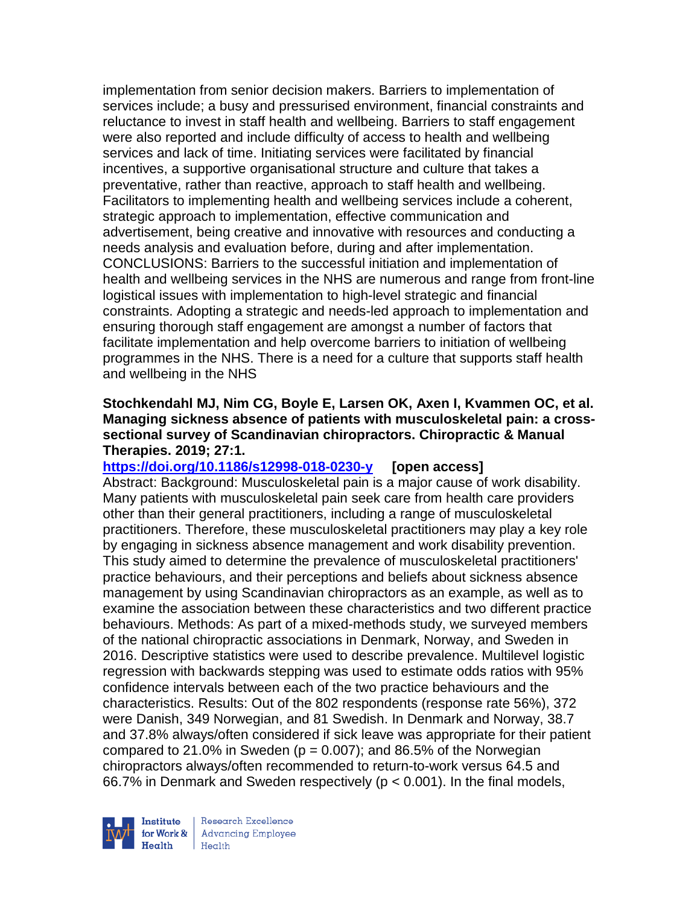implementation from senior decision makers. Barriers to implementation of services include; a busy and pressurised environment, financial constraints and reluctance to invest in staff health and wellbeing. Barriers to staff engagement were also reported and include difficulty of access to health and wellbeing services and lack of time. Initiating services were facilitated by financial incentives, a supportive organisational structure and culture that takes a preventative, rather than reactive, approach to staff health and wellbeing. Facilitators to implementing health and wellbeing services include a coherent, strategic approach to implementation, effective communication and advertisement, being creative and innovative with resources and conducting a needs analysis and evaluation before, during and after implementation. CONCLUSIONS: Barriers to the successful initiation and implementation of health and wellbeing services in the NHS are numerous and range from front-line logistical issues with implementation to high-level strategic and financial constraints. Adopting a strategic and needs-led approach to implementation and ensuring thorough staff engagement are amongst a number of factors that facilitate implementation and help overcome barriers to initiation of wellbeing programmes in the NHS. There is a need for a culture that supports staff health and wellbeing in the NHS

#### **Stochkendahl MJ, Nim CG, Boyle E, Larsen OK, Axen I, Kvammen OC, et al. Managing sickness absence of patients with musculoskeletal pain: a crosssectional survey of Scandinavian chiropractors. Chiropractic & Manual Therapies. 2019; 27:1.**

**<https://doi.org/10.1186/s12998-018-0230-y> [open access]**

Abstract: Background: Musculoskeletal pain is a major cause of work disability. Many patients with musculoskeletal pain seek care from health care providers other than their general practitioners, including a range of musculoskeletal practitioners. Therefore, these musculoskeletal practitioners may play a key role by engaging in sickness absence management and work disability prevention. This study aimed to determine the prevalence of musculoskeletal practitioners' practice behaviours, and their perceptions and beliefs about sickness absence management by using Scandinavian chiropractors as an example, as well as to examine the association between these characteristics and two different practice behaviours. Methods: As part of a mixed-methods study, we surveyed members of the national chiropractic associations in Denmark, Norway, and Sweden in 2016. Descriptive statistics were used to describe prevalence. Multilevel logistic regression with backwards stepping was used to estimate odds ratios with 95% confidence intervals between each of the two practice behaviours and the characteristics. Results: Out of the 802 respondents (response rate 56%), 372 were Danish, 349 Norwegian, and 81 Swedish. In Denmark and Norway, 38.7 and 37.8% always/often considered if sick leave was appropriate for their patient compared to 21.0% in Sweden ( $p = 0.007$ ); and 86.5% of the Norwegian chiropractors always/often recommended to return-to-work versus 64.5 and 66.7% in Denmark and Sweden respectively (p < 0.001). In the final models,



Research Excellence for Work & Advancing Employee Health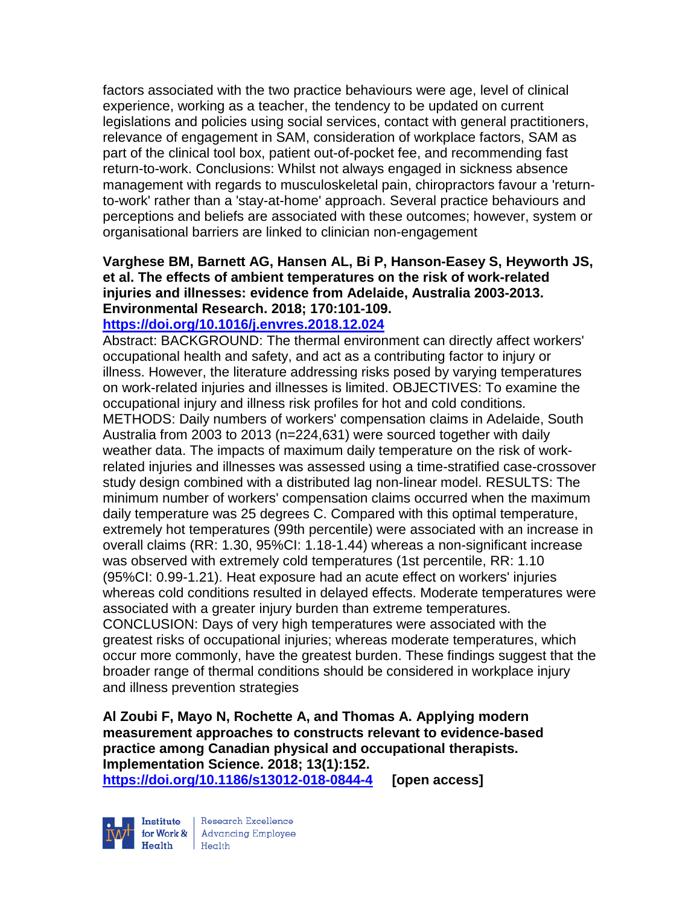factors associated with the two practice behaviours were age, level of clinical experience, working as a teacher, the tendency to be updated on current legislations and policies using social services, contact with general practitioners, relevance of engagement in SAM, consideration of workplace factors, SAM as part of the clinical tool box, patient out-of-pocket fee, and recommending fast return-to-work. Conclusions: Whilst not always engaged in sickness absence management with regards to musculoskeletal pain, chiropractors favour a 'returnto-work' rather than a 'stay-at-home' approach. Several practice behaviours and perceptions and beliefs are associated with these outcomes; however, system or organisational barriers are linked to clinician non-engagement

# **Varghese BM, Barnett AG, Hansen AL, Bi P, Hanson-Easey S, Heyworth JS, et al. The effects of ambient temperatures on the risk of work-related injuries and illnesses: evidence from Adelaide, Australia 2003-2013. Environmental Research. 2018; 170:101-109.**

## **<https://doi.org/10.1016/j.envres.2018.12.024>**

Abstract: BACKGROUND: The thermal environment can directly affect workers' occupational health and safety, and act as a contributing factor to injury or illness. However, the literature addressing risks posed by varying temperatures on work-related injuries and illnesses is limited. OBJECTIVES: To examine the occupational injury and illness risk profiles for hot and cold conditions. METHODS: Daily numbers of workers' compensation claims in Adelaide, South Australia from 2003 to 2013 (n=224,631) were sourced together with daily weather data. The impacts of maximum daily temperature on the risk of workrelated injuries and illnesses was assessed using a time-stratified case-crossover study design combined with a distributed lag non-linear model. RESULTS: The minimum number of workers' compensation claims occurred when the maximum daily temperature was 25 degrees C. Compared with this optimal temperature, extremely hot temperatures (99th percentile) were associated with an increase in overall claims (RR: 1.30, 95%CI: 1.18-1.44) whereas a non-significant increase was observed with extremely cold temperatures (1st percentile, RR: 1.10 (95%CI: 0.99-1.21). Heat exposure had an acute effect on workers' injuries whereas cold conditions resulted in delayed effects. Moderate temperatures were associated with a greater injury burden than extreme temperatures. CONCLUSION: Days of very high temperatures were associated with the greatest risks of occupational injuries; whereas moderate temperatures, which occur more commonly, have the greatest burden. These findings suggest that the broader range of thermal conditions should be considered in workplace injury and illness prevention strategies

**Al Zoubi F, Mayo N, Rochette A, and Thomas A. Applying modern measurement approaches to constructs relevant to evidence-based practice among Canadian physical and occupational therapists. Implementation Science. 2018; 13(1):152.**

**<https://doi.org/10.1186/s13012-018-0844-4> [open access]**



**Institute** Research Excellence<br>**for Work &** Advancing Employee  $H$ ealth